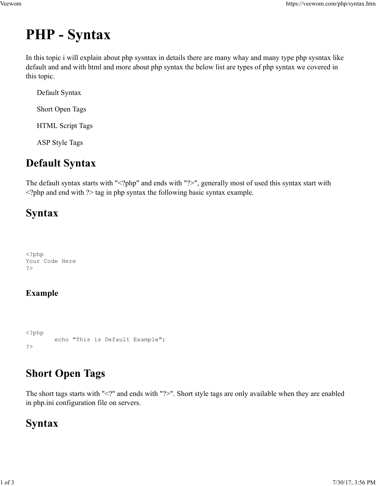# PHP - Syntax Veewom https://veewom.com/php/syntax.htm<br>  $\bf{PHP - Syntax}$

In this topic i will explain about php sysntax in details there are many whay and many type php sysntax like default and and with html and more about php syntax the below list are types of php syntax we covered in this topic.

 Default Syntax Short Open Tags

HTML Script Tags

ASP Style Tags

## Default Syntax

The default syntax starts with "<?php" and ends with "?>", generally most of used this syntax start with  $\langle$ ?php and end with ?> tag in php syntax the following basic syntax example.

## Syntax

<?php Your Code Here ?>

## Example

```
<?php
                  exhows what it also in prop by making and converting onder by making changes.<br>
Some that is defined in the sample";<br>
Chendral Constants with "<?" and onds with "?>". Short style tags are only available using starts with "<
?>
```
# Short Open Tags

The short tags starts with "<?" and ends with "?>". Short style tags are only available when they are enabled in php.ini configuration file on servers. <sup>2</sup>P<sup>hp</sup> echo "This is Default Example";<br>
2><br> **Short Open Tags**<br>
The short tags starts with "2<sup>2</sup>" and ends with "?>". Short style tags are only available when they are enabled<br>
in php.ini configuration file on servers.<br>

## Syntax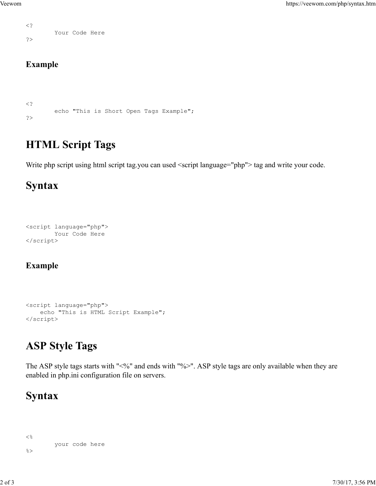```
\langle?
     Your Code Here
  ?>
Veewom https://veewom.com/php/syntax.htm<br>
Your Code Here<br>
?>
```
#### Example

```
\langle?
          https://vee<br>
echo "This is Short Open Tags Example";<br>
L Script Tags<br>
script Vaing bind script tag you can used <script language="php"> tag and write your c
?>
```
## HTML Script Tags

Write php script using html script tag.you can used <script language="php"> tag and write your code.

## Syntax

```
<script language="php">
       Your Code Here
</script>
```
### Example

```
<script language="php">
           echo "This is HTML Script Example";<br>The transmission of the HTML Script Example";<br>where \frac{1}{2} and \frac{1}{2}<br>is HTML Script Example";<br>\frac{1}{2}<br>\frac{1}{2}<br>\frac{1}{2}<br>\frac{1}{2}<br>\frac{1}{2}<br>\frac{1}{2}<br>\frac{1}{2}<br>\frac{1}{2}<br>\frac{1</script>
```
# ASP Style Tags

The ASP style tags starts with "<%" and ends with "%>". ASP style tags are only available when they are enabled in php.ini configuration file on servers. **ASP Style Tags**<br>
The ASP style tags starts with "%%" and ends with "%>". ASP style tags are only available when they are<br>
canabled in php.ini configuration file on servers.<br> **Syntax**<br>
<sup>26</sup><br>
<sup>2001</sup> code here<br>
<sup>25</sup><br>
<sup>2001</sup>

## Syntax

```
\langle \, \cdot \, \rangleyour code here 
\frac{1}{2}
```